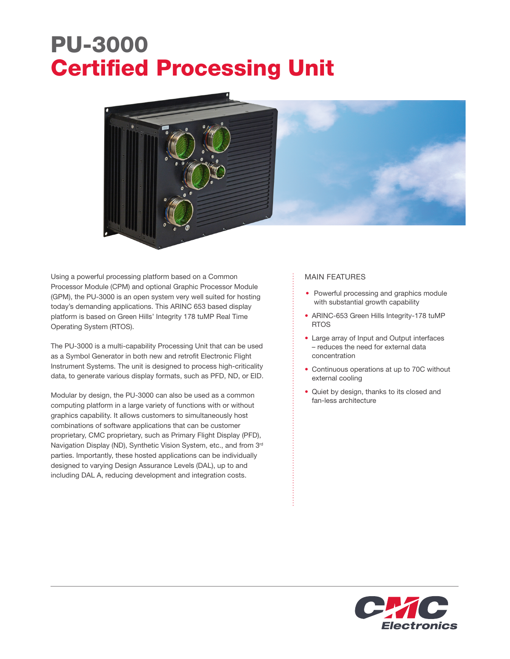## PU-3000 Certified Processing Unit



Using a powerful processing platform based on a Common Processor Module (CPM) and optional Graphic Processor Module (GPM), the PU-3000 is an open system very well suited for hosting today's demanding applications. This ARINC 653 based display platform is based on Green Hills' Integrity 178 tuMP Real Time Operating System (RTOS).

The PU-3000 is a multi-capability Processing Unit that can be used as a Symbol Generator in both new and retrofit Electronic Flight Instrument Systems. The unit is designed to process high-criticality data, to generate various display formats, such as PFD, ND, or EID.

Modular by design, the PU-3000 can also be used as a common computing platform in a large variety of functions with or without graphics capability. It allows customers to simultaneously host combinations of software applications that can be customer proprietary, CMC proprietary, such as Primary Flight Display (PFD), Navigation Display (ND), Synthetic Vision System, etc., and from 3<sup>rd</sup> parties. Importantly, these hosted applications can be individually designed to varying Design Assurance Levels (DAL), up to and including DAL A, reducing development and integration costs.

## MAIN FEATURES

- Powerful processing and graphics module with substantial growth capability
- ARINC-653 Green Hills Integrity-178 tuMP RTOS
- Large array of Input and Output interfaces – reduces the need for external data concentration
- Continuous operations at up to 70C without external cooling
- Quiet by design, thanks to its closed and fan-less architecture